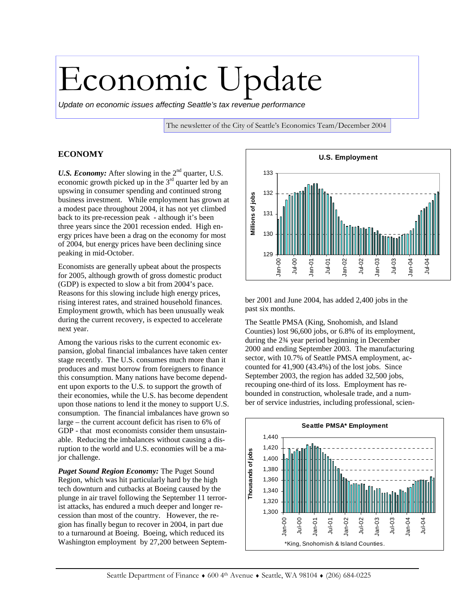# Economic Update

*Update on economic issues affecting Seattle's tax revenue performance* 

The newsletter of the City of Seattle's Economics Team/December 2004

#### **ECONOMY**

*U.S. Economy:* After slowing in the 2<sup>nd</sup> quarter, U.S. economic growth picked up in the  $3<sup>rd</sup>$  quarter led by an upswing in consumer spending and continued strong business investment. While employment has grown at a modest pace throughout 2004, it has not yet climbed back to its pre-recession peak - although it's been three years since the 2001 recession ended. High energy prices have been a drag on the economy for most of 2004, but energy prices have been declining since peaking in mid-October.

Economists are generally upbeat about the prospects for 2005, although growth of gross domestic product (GDP) is expected to slow a bit from 2004's pace. Reasons for this slowing include high energy prices, rising interest rates, and strained household finances. Employment growth, which has been unusually weak during the current recovery, is expected to accelerate next year.

Among the various risks to the current economic expansion, global financial imbalances have taken center stage recently. The U.S. consumes much more than it produces and must borrow from foreigners to finance this consumption. Many nations have become dependent upon exports to the U.S. to support the growth of their economies, while the U.S. has become dependent upon those nations to lend it the money to support U.S. consumption. The financial imbalances have grown so large – the current account deficit has risen to 6% of GDP - that most economists consider them unsustainable. Reducing the imbalances without causing a disruption to the world and U.S. economies will be a major challenge.

*Puget Sound Region Economy:* The Puget Sound Region, which was hit particularly hard by the high tech downturn and cutbacks at Boeing caused by the plunge in air travel following the September 11 terrorist attacks, has endured a much deeper and longer recession than most of the country. However, the region has finally begun to recover in 2004, in part due to a turnaround at Boeing. Boeing, which reduced its Washington employment by 27,200 between Septem-



ber 2001 and June 2004, has added 2,400 jobs in the past six months.

The Seattle PMSA (King, Snohomish, and Island Counties) lost 96,600 jobs, or 6.8% of its employment, during the 2¾ year period beginning in December 2000 and ending September 2003. The manufacturing sector, with 10.7% of Seattle PMSA employment, accounted for 41,900 (43.4%) of the lost jobs. Since September 2003, the region has added 32,500 jobs, recouping one-third of its loss. Employment has rebounded in construction, wholesale trade, and a number of service industries, including professional, scien-

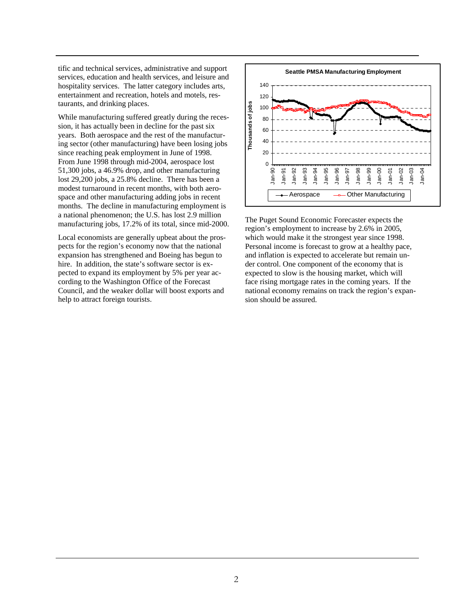tific and technical services, administrative and support services, education and health services, and leisure and hospitality services. The latter category includes arts, entertainment and recreation, hotels and motels, restaurants, and drinking places.

While manufacturing suffered greatly during the recession, it has actually been in decline for the past six years. Both aerospace and the rest of the manufacturing sector (other manufacturing) have been losing jobs since reaching peak employment in June of 1998. From June 1998 through mid-2004, aerospace lost 51,300 jobs, a 46.9% drop, and other manufacturing lost 29,200 jobs, a 25.8% decline. There has been a modest turnaround in recent months, with both aerospace and other manufacturing adding jobs in recent months. The decline in manufacturing employment is a national phenomenon; the U.S. has lost 2.9 million manufacturing jobs, 17.2% of its total, since mid-2000.

Local economists are generally upbeat about the prospects for the region's economy now that the national expansion has strengthened and Boeing has begun to hire. In addition, the state's software sector is expected to expand its employment by 5% per year according to the Washington Office of the Forecast Council, and the weaker dollar will boost exports and help to attract foreign tourists.



The Puget Sound Economic Forecaster expects the region's employment to increase by 2.6% in 2005, which would make it the strongest year since 1998. Personal income is forecast to grow at a healthy pace, and inflation is expected to accelerate but remain under control. One component of the economy that is expected to slow is the housing market, which will face rising mortgage rates in the coming years. If the national economy remains on track the region's expansion should be assured.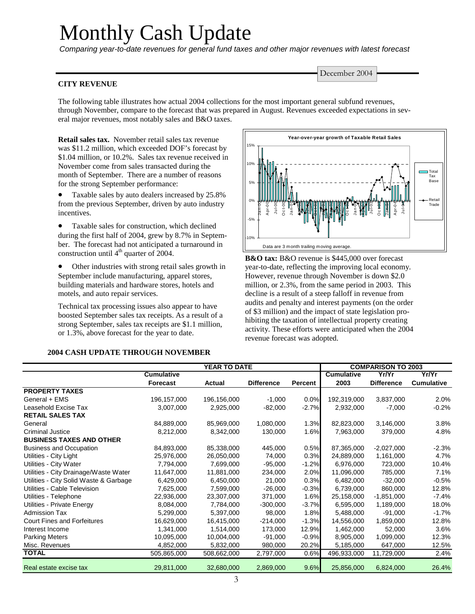## Monthly Cash Update

*Comparing year-to-date revenues for general fund taxes and other major revenues with latest forecast* 

#### **CITY REVENUE**

The following table illustrates how actual 2004 collections for the most important general subfund revenues, through November, compare to the forecast that was prepared in August. Revenues exceeded expectations in several major revenues, most notably sales and B&O taxes.

**Retail sales tax.** November retail sales tax revenue was \$11.2 million, which exceeded DOF's forecast by \$1.04 million, or 10.2%. Sales tax revenue received in November come from sales transacted during the month of September. There are a number of reasons for the strong September performance:

• Taxable sales by auto dealers increased by 25.8% from the previous September, driven by auto industry incentives.

• Taxable sales for construction, which declined during the first half of 2004, grew by 8.7% in September. The forecast had not anticipated a turnaround in construction until  $4<sup>th</sup>$  quarter of 2004.

• Other industries with strong retail sales growth in September include manufacturing, apparel stores, building materials and hardware stores, hotels and motels, and auto repair services.

Technical tax processing issues also appear to have boosted September sales tax receipts. As a result of a strong September, sales tax receipts are \$1.1 million, or 1.3%, above forecast for the year to date.



**B&O tax:** B&O revenue is \$445,000 over forecast year-to-date, reflecting the improving local economy. However, revenue through November is down \$2.0 million, or 2.3%, from the same period in 2003. This decline is a result of a steep falloff in revenue from audits and penalty and interest payments (on the order of \$3 million) and the impact of state legislation prohibiting the taxation of intellectual property creating activity. These efforts were anticipated when the 2004 revenue forecast was adopted.

#### **2004 CASH UPDATE THROUGH NOVEMBER**

|                                        | YEAR TO DATE      |             |                   |         | <b>COMPARISON TO 2003</b> |                   |                   |  |
|----------------------------------------|-------------------|-------------|-------------------|---------|---------------------------|-------------------|-------------------|--|
|                                        | <b>Cumulative</b> |             |                   |         | <b>Cumulative</b>         | Yr/Yr             | Yr/Yr             |  |
|                                        | <b>Forecast</b>   | Actual      | <b>Difference</b> | Percent | 2003                      | <b>Difference</b> | <b>Cumulative</b> |  |
| <b>PROPERTY TAXES</b>                  |                   |             |                   |         |                           |                   |                   |  |
| General + EMS                          | 196, 157, 000     | 196,156,000 | $-1,000$          | 0.0%    | 192,319,000               | 3,837,000         | 2.0%              |  |
| Leasehold Excise Tax                   | 3,007,000         | 2,925,000   | $-82,000$         | $-2.7%$ | 2,932,000                 | $-7,000$          | $-0.2%$           |  |
| <b>RETAIL SALES TAX</b>                |                   |             |                   |         |                           |                   |                   |  |
| General                                | 84,889,000        | 85,969,000  | 1,080,000         | 1.3%    | 82,823,000                | 3,146,000         | 3.8%              |  |
| Criminal Justice                       | 8,212,000         | 8,342,000   | 130,000           | 1.6%    | 7,963,000                 | 379,000           | 4.8%              |  |
| <b>BUSINESS TAXES AND OTHER</b>        |                   |             |                   |         |                           |                   |                   |  |
| <b>Business and Occupation</b>         | 84,893,000        | 85,338,000  | 445,000           | 0.5%    | 87,365,000                | $-2,027,000$      | $-2.3%$           |  |
| Utilities - City Light                 | 25,976,000        | 26,050,000  | 74,000            | 0.3%    | 24,889,000                | 1,161,000         | 4.7%              |  |
| Utilities - City Water                 | 7,794,000         | 7,699,000   | $-95,000$         | $-1.2%$ | 6,976,000                 | 723,000           | 10.4%             |  |
| Utilities - City Drainage/Waste Water  | 11,647,000        | 11,881,000  | 234,000           | 2.0%    | 11,096,000                | 785,000           | 7.1%              |  |
| Utilities - City Solid Waste & Garbage | 6,429,000         | 6,450,000   | 21,000            | 0.3%    | 6,482,000                 | $-32,000$         | $-0.5%$           |  |
| Utilities - Cable Television           | 7,625,000         | 7,599,000   | $-26,000$         | $-0.3%$ | 6,739,000                 | 860,000           | 12.8%             |  |
| Utilities - Telephone                  | 22,936,000        | 23,307,000  | 371,000           | 1.6%    | 25,158,000                | $-1,851,000$      | $-7.4%$           |  |
| Utilities - Private Energy             | 8,084,000         | 7,784,000   | $-300,000$        | $-3.7%$ | 6,595,000                 | 1,189,000         | 18.0%             |  |
| <b>Admission Tax</b>                   | 5,299,000         | 5,397,000   | 98,000            | 1.8%    | 5,488,000                 | $-91,000$         | $-1.7%$           |  |
| <b>Court Fines and Forfeitures</b>     | 16,629,000        | 16,415,000  | $-214,000$        | $-1.3%$ | 14,556,000                | 1,859,000         | 12.8%             |  |
| Interest Income                        | 1,341,000         | 1,514,000   | 173,000           | 12.9%   | 1,462,000                 | 52,000            | 3.6%              |  |
| <b>Parking Meters</b>                  | 10,095,000        | 10,004,000  | $-91,000$         | $-0.9%$ | 8,905,000                 | 1,099,000         | 12.3%             |  |
| Misc. Revenues                         | 4,852,000         | 5,832,000   | 980,000           | 20.2%   | 5,185,000                 | 647,000           | 12.5%             |  |
| <b>TOTAL</b>                           | 505,865,000       | 508,662,000 | 2,797,000         | 0.6%    | 496,933,000               | 11,729,000        | 2.4%              |  |
| Real estate excise tax                 | 29,811,000        | 32,680,000  | 2,869,000         | 9.6%    | 25,856,000                | 6,824,000         | 26.4%             |  |

December 2004